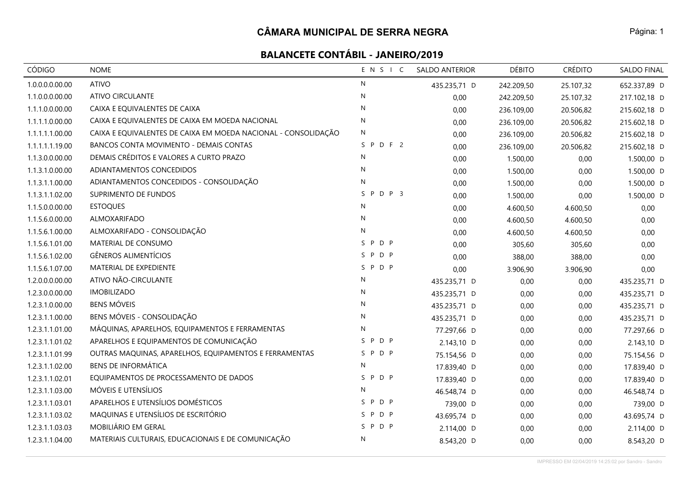#### **CÂMARA MUNICIPAL DE SERRA NEGRA**

| CÓDIGO          | <b>NOME</b>                                                    | ENSIC                  | <b>SALDO ANTERIOR</b> | <b>DÉBITO</b> | <b>CRÉDITO</b> | SALDO FINAL  |
|-----------------|----------------------------------------------------------------|------------------------|-----------------------|---------------|----------------|--------------|
| 1.0.0.0.0.00.00 | <b>ATIVO</b>                                                   | $\mathsf{N}$           | 435.235,71 D          | 242.209,50    | 25.107,32      | 652.337,89 D |
| 1.1.0.0.0.00.00 | ATIVO CIRCULANTE                                               | $\mathsf{N}$           | 0,00                  | 242.209,50    | 25.107,32      | 217.102,18 D |
| 1.1.1.0.0.00.00 | CAIXA E EQUIVALENTES DE CAIXA                                  | N                      | 0,00                  | 236.109,00    | 20.506,82      | 215.602,18 D |
| 1.1.1.1.0.00.00 | CAIXA E EQUIVALENTES DE CAIXA EM MOEDA NACIONAL                | N                      | 0,00                  | 236.109,00    | 20.506,82      | 215.602,18 D |
| 1.1.1.1.1.00.00 | CAIXA E EQUIVALENTES DE CAIXA EM MOEDA NACIONAL - CONSOLIDAÇÃO | N                      | 0,00                  | 236.109,00    | 20.506,82      | 215.602,18 D |
| 1.1.1.1.1.19.00 | BANCOS CONTA MOVIMENTO - DEMAIS CONTAS                         | SPDF2                  | 0,00                  | 236.109,00    | 20.506,82      | 215.602,18 D |
| 1.1.3.0.0.00.00 | DEMAIS CRÉDITOS E VALORES A CURTO PRAZO                        | N                      | 0,00                  | 1.500,00      | 0,00           | 1.500,00 D   |
| 1.1.3.1.0.00.00 | ADIANTAMENTOS CONCEDIDOS                                       | N                      | 0,00                  | 1.500,00      | 0,00           | 1.500,00 D   |
| 1.1.3.1.1.00.00 | ADIANTAMENTOS CONCEDIDOS - CONSOLIDAÇÃO                        | N                      | 0,00                  | 1.500,00      | 0,00           | 1.500,00 D   |
| 1.1.3.1.1.02.00 | SUPRIMENTO DE FUNDOS                                           | PDP <sub>3</sub><br>S. | 0,00                  | 1.500,00      | 0,00           | 1.500,00 D   |
| 1.1.5.0.0.00.00 | <b>ESTOQUES</b>                                                | N                      | 0,00                  | 4.600,50      | 4.600,50       | 0,00         |
| 1.1.5.6.0.00.00 | ALMOXARIFADO                                                   | N                      | 0,00                  | 4.600,50      | 4.600,50       | 0,00         |
| 1.1.5.6.1.00.00 | ALMOXARIFADO - CONSOLIDAÇÃO                                    | $\mathsf{N}$           | 0,00                  | 4.600,50      | 4.600,50       | 0,00         |
| 1.1.5.6.1.01.00 | MATERIAL DE CONSUMO                                            | SPDP                   | 0,00                  | 305,60        | 305,60         | 0,00         |
| 1.1.5.6.1.02.00 | <b>GÊNEROS ALIMENTÍCIOS</b>                                    | SPDP                   | 0,00                  | 388,00        | 388,00         | 0,00         |
| 1.1.5.6.1.07.00 | MATERIAL DE EXPEDIENTE                                         | SPDP                   | 0,00                  | 3.906,90      | 3.906,90       | 0,00         |
| 1.2.0.0.0.00.00 | ATIVO NÃO-CIRCULANTE                                           | $\mathsf{N}$           | 435.235,71 D          | 0,00          | 0,00           | 435.235,71 D |
| 1.2.3.0.0.00.00 | <b>IMOBILIZADO</b>                                             | $\mathsf{N}$           | 435.235,71 D          | 0,00          | 0,00           | 435.235,71 D |
| 1.2.3.1.0.00.00 | <b>BENS MÓVEIS</b>                                             | $\mathsf{N}$           | 435.235,71 D          | 0,00          | 0,00           | 435.235,71 D |
| 1.2.3.1.1.00.00 | BENS MÓVEIS - CONSOLIDAÇÃO                                     | N                      | 435.235,71 D          | 0,00          | 0,00           | 435.235,71 D |
| 1.2.3.1.1.01.00 | MÁQUINAS, APARELHOS, EQUIPAMENTOS E FERRAMENTAS                | N                      | 77.297,66 D           | 0,00          | 0,00           | 77.297,66 D  |
| 1.2.3.1.1.01.02 | APARELHOS E EQUIPAMENTOS DE COMUNICAÇÃO                        | P D P<br>S.            | 2.143,10 D            | 0,00          | 0,00           | 2.143,10 D   |
| 1.2.3.1.1.01.99 | OUTRAS MAQUINAS, APARELHOS, EQUIPAMENTOS E FERRAMENTAS         | SPDP                   | 75.154,56 D           | 0,00          | 0,00           | 75.154,56 D  |
| 1.2.3.1.1.02.00 | <b>BENS DE INFORMÁTICA</b>                                     | N                      | 17.839,40 D           | 0,00          | 0,00           | 17.839,40 D  |
| 1.2.3.1.1.02.01 | EQUIPAMENTOS DE PROCESSAMENTO DE DADOS                         | SPDP                   | 17.839,40 D           | 0,00          | 0,00           | 17.839,40 D  |
| 1.2.3.1.1.03.00 | MÓVEIS E UTENSÍLIOS                                            | N                      | 46.548,74 D           | 0,00          | 0,00           | 46.548,74 D  |
| 1.2.3.1.1.03.01 | APARELHOS E UTENSÍLIOS DOMÉSTICOS                              | P D P<br>S.            | 739,00 D              | 0,00          | 0,00           | 739,00 D     |
| 1.2.3.1.1.03.02 | MAQUINAS E UTENSÍLIOS DE ESCRITÓRIO                            | P D P<br>S.            | 43.695,74 D           | 0,00          | 0,00           | 43.695,74 D  |
| 1.2.3.1.1.03.03 | MOBILIÁRIO EM GERAL                                            | SPDP                   | 2.114,00 D            | 0,00          | 0,00           | 2.114,00 D   |
| 1.2.3.1.1.04.00 | MATERIAIS CULTURAIS, EDUCACIONAIS E DE COMUNICAÇÃO             | $\mathsf{N}$           | 8.543,20 D            | 0,00          | 0,00           | 8.543,20 D   |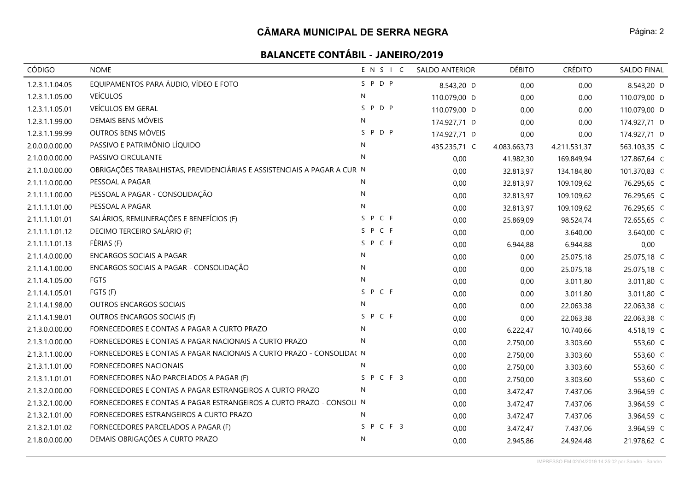| CÓDIGO          | <b>NOME</b>                                                              | ENSIC        | <b>SALDO ANTERIOR</b> | <b>DÉBITO</b> | <b>CRÉDITO</b> | SALDO FINAL  |
|-----------------|--------------------------------------------------------------------------|--------------|-----------------------|---------------|----------------|--------------|
| 1.2.3.1.1.04.05 | EQUIPAMENTOS PARA ÁUDIO, VÍDEO E FOTO                                    | SPDP         | 8.543,20 D            | 0,00          | 0,00           | 8.543,20 D   |
| 1.2.3.1.1.05.00 | <b>VEÍCULOS</b>                                                          | $\mathsf{N}$ | 110.079,00 D          | 0,00          | 0,00           | 110.079,00 D |
| 1.2.3.1.1.05.01 | VEÍCULOS EM GERAL                                                        | SPDP         | 110.079,00 D          | 0,00          | 0.00           | 110.079,00 D |
| 1.2.3.1.1.99.00 | DEMAIS BENS MÓVEIS                                                       | $\mathsf{N}$ | 174.927,71 D          | 0,00          | 0,00           | 174.927,71 D |
| 1.2.3.1.1.99.99 | OUTROS BENS MÓVEIS                                                       | P D P<br>S.  | 174.927,71 D          | 0,00          | 0,00           | 174.927,71 D |
| 2.0.0.0.0.00.00 | PASSIVO E PATRIMÔNIO LÍQUIDO                                             | N            | 435.235,71 C          | 4.083.663,73  | 4.211.531,37   | 563.103,35 C |
| 2.1.0.0.0.00.00 | PASSIVO CIRCULANTE                                                       | N            | 0,00                  | 41.982,30     | 169.849,94     | 127.867,64 C |
| 2.1.1.0.0.00.00 | OBRIGAÇÕES TRABALHISTAS, PREVIDENCIÁRIAS E ASSISTENCIAIS A PAGAR A CUR N |              | 0,00                  | 32.813,97     | 134.184,80     | 101.370,83 C |
| 2.1.1.1.0.00.00 | PESSOAL A PAGAR                                                          | N            | 0,00                  | 32.813,97     | 109.109,62     | 76.295,65 C  |
| 2.1.1.1.1.00.00 | PESSOAL A PAGAR - CONSOLIDAÇÃO                                           | N            | 0,00                  | 32.813,97     | 109.109,62     | 76.295,65 C  |
| 2.1.1.1.1.01.00 | PESSOAL A PAGAR                                                          | $\mathsf{N}$ | 0,00                  | 32.813,97     | 109.109,62     | 76.295,65 C  |
| 2.1.1.1.1.01.01 | SALÁRIOS, REMUNERAÇÕES E BENEFÍCIOS (F)                                  | SPCF         | 0,00                  | 25.869,09     | 98.524,74      | 72.655,65 C  |
| 2.1.1.1.1.01.12 | DECIMO TERCEIRO SALÁRIO (F)                                              | SPCF         | 0,00                  | 0,00          | 3.640,00       | 3.640,00 C   |
| 2.1.1.1.1.01.13 | FÉRIAS (F)                                                               | SPCF         | 0,00                  | 6.944,88      | 6.944,88       | 0,00         |
| 2.1.1.4.0.00.00 | <b>ENCARGOS SOCIAIS A PAGAR</b>                                          | N            | 0,00                  | 0,00          | 25.075,18      | 25.075,18 C  |
| 2.1.1.4.1.00.00 | ENCARGOS SOCIAIS A PAGAR - CONSOLIDAÇÃO                                  | N            | 0,00                  | 0,00          | 25.075,18      | 25.075,18 C  |
| 2.1.1.4.1.05.00 | <b>FGTS</b>                                                              | N            | 0,00                  | 0,00          | 3.011,80       | 3.011,80 C   |
| 2.1.1.4.1.05.01 | FGTS (F)                                                                 | SPCF         | 0,00                  | 0,00          | 3.011,80       | 3.011,80 C   |
| 2.1.1.4.1.98.00 | <b>OUTROS ENCARGOS SOCIAIS</b>                                           | N            | 0,00                  | 0,00          | 22.063,38      | 22.063,38 C  |
| 2.1.1.4.1.98.01 | OUTROS ENCARGOS SOCIAIS (F)                                              | SPCF         | 0,00                  | 0,00          | 22.063,38      | 22.063,38 C  |
| 2.1.3.0.0.00.00 | FORNECEDORES E CONTAS A PAGAR A CURTO PRAZO                              | N            | 0,00                  | 6.222,47      | 10.740,66      | 4.518,19 C   |
| 2.1.3.1.0.00.00 | FORNECEDORES E CONTAS A PAGAR NACIONAIS A CURTO PRAZO                    | N            | 0,00                  | 2.750,00      | 3.303,60       | 553,60 C     |
| 2.1.3.1.1.00.00 | FORNECEDORES E CONTAS A PAGAR NACIONAIS A CURTO PRAZO - CONSOLIDA( N     |              | 0,00                  | 2.750,00      | 3.303,60       | 553,60 C     |
| 2.1.3.1.1.01.00 | FORNECEDORES NACIONAIS                                                   | N            | 0,00                  | 2.750,00      | 3.303,60       | 553,60 C     |
| 2.1.3.1.1.01.01 | FORNECEDORES NÃO PARCELADOS A PAGAR (F)                                  | SPCF3        | 0,00                  | 2.750,00      | 3.303,60       | 553,60 C     |
| 2.1.3.2.0.00.00 | FORNECEDORES E CONTAS A PAGAR ESTRANGEIROS A CURTO PRAZO                 | N            | 0,00                  | 3.472,47      | 7.437,06       | 3.964,59 C   |
| 2.1.3.2.1.00.00 | FORNECEDORES E CONTAS A PAGAR ESTRANGEIROS A CURTO PRAZO - CONSOLI N     |              | 0,00                  | 3.472,47      | 7.437,06       | 3.964,59 C   |
| 2.1.3.2.1.01.00 | FORNECEDORES ESTRANGEIROS A CURTO PRAZO                                  | N            | 0,00                  | 3.472,47      | 7.437,06       | 3.964,59 C   |
| 2.1.3.2.1.01.02 | FORNECEDORES PARCELADOS A PAGAR (F)                                      | SPCF3        | 0,00                  | 3.472,47      | 7.437,06       | 3.964,59 C   |
| 2.1.8.0.0.00.00 | DEMAIS OBRIGAÇÕES A CURTO PRAZO                                          | N            | 0,00                  | 2.945,86      | 24.924,48      | 21.978,62 C  |

IMPRESSO EM 02/04/2019 14:25:02 por Sandro - Sandro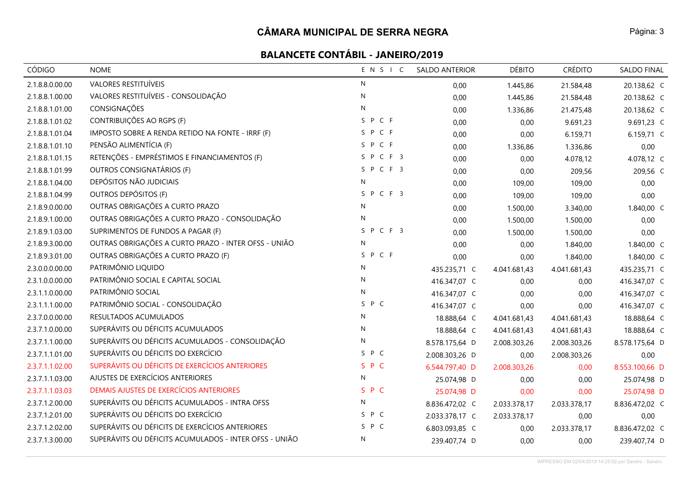| CÓDIGO          | <b>NOME</b>                                            | ENSIC        | <b>SALDO ANTERIOR</b> | <b>DÉBITO</b> | <b>CRÉDITO</b> | <b>SALDO FINAL</b> |
|-----------------|--------------------------------------------------------|--------------|-----------------------|---------------|----------------|--------------------|
| 2.1.8.8.0.00.00 | <b>VALORES RESTITUÍVEIS</b>                            | N            | 0,00                  | 1.445,86      | 21.584,48      | 20.138,62 C        |
| 2.1.8.8.1.00.00 | VALORES RESTITUÍVEIS - CONSOLIDAÇÃO                    | N            | 0,00                  | 1.445,86      | 21.584,48      | 20.138,62 C        |
| 2.1.8.8.1.01.00 | CONSIGNAÇÕES                                           | N            | 0,00                  | 1.336,86      | 21.475,48      | 20.138,62 C        |
| 2.1.8.8.1.01.02 | CONTRIBUIÇÕES AO RGPS (F)                              | SPCF         | 0,00                  | 0,00          | 9.691,23       | 9.691,23 C         |
| 2.1.8.8.1.01.04 | IMPOSTO SOBRE A RENDA RETIDO NA FONTE - IRRF (F)       | SPCF         | 0,00                  | 0,00          | 6.159,71       | 6.159,71 C         |
| 2.1.8.8.1.01.10 | PENSÃO ALIMENTÍCIA (F)                                 | SPCF         | 0,00                  | 1.336,86      | 1.336,86       | 0,00               |
| 2.1.8.8.1.01.15 | RETENÇÕES - EMPRÉSTIMOS E FINANCIAMENTOS (F)           | SPCF 3       | 0,00                  | 0,00          | 4.078,12       | 4.078,12 C         |
| 2.1.8.8.1.01.99 | OUTROS CONSIGNATÁRIOS (F)                              | SPCF3        | 0,00                  | 0,00          | 209,56         | 209,56 C           |
| 2.1.8.8.1.04.00 | DEPÓSITOS NÃO JUDICIAIS                                | N            | 0,00                  | 109,00        | 109,00         | 0,00               |
| 2.1.8.8.1.04.99 | OUTROS DEPÓSITOS (F)                                   | SPCF3        | 0,00                  | 109,00        | 109,00         | 0,00               |
| 2.1.8.9.0.00.00 | OUTRAS OBRIGAÇÕES A CURTO PRAZO                        | N            | 0,00                  | 1.500,00      | 3.340,00       | 1.840,00 C         |
| 2.1.8.9.1.00.00 | OUTRAS OBRIGAÇÕES A CURTO PRAZO - CONSOLIDAÇÃO         | N            | 0,00                  | 1.500,00      | 1.500,00       | 0,00               |
| 2.1.8.9.1.03.00 | SUPRIMENTOS DE FUNDOS A PAGAR (F)                      | SPCF3        | 0,00                  | 1.500,00      | 1.500,00       | 0,00               |
| 2.1.8.9.3.00.00 | OUTRAS OBRIGAÇÕES A CURTO PRAZO - INTER OFSS - UNIÃO   | N            | 0,00                  | 0,00          | 1.840,00       | 1.840,00 C         |
| 2.1.8.9.3.01.00 | OUTRAS OBRIGAÇÕES A CURTO PRAZO (F)                    | SPCF         | 0,00                  | 0,00          | 1.840,00       | 1.840,00 C         |
| 2.3.0.0.0.00.00 | PATRIMÔNIO LIQUIDO                                     | $\mathsf{N}$ | 435.235,71 C          | 4.041.681,43  | 4.041.681,43   | 435.235,71 C       |
| 2.3.1.0.0.00.00 | PATRIMÔNIO SOCIAL E CAPITAL SOCIAL                     | N            | 416.347,07 C          | 0,00          | 0,00           | 416.347,07 C       |
| 2.3.1.1.0.00.00 | PATRIMÔNIO SOCIAL                                      | N            | 416.347,07 C          | 0,00          | 0,00           | 416.347,07 C       |
| 2.3.1.1.1.00.00 | PATRIMÔNIO SOCIAL - CONSOLIDAÇÃO                       | S P C        | 416.347,07 C          | 0,00          | 0,00           | 416.347,07 C       |
| 2.3.7.0.0.00.00 | RESULTADOS ACUMULADOS                                  | ${\sf N}$    | 18.888,64 C           | 4.041.681,43  | 4.041.681,43   | 18.888,64 C        |
| 2.3.7.1.0.00.00 | SUPERÁVITS OU DÉFICITS ACUMULADOS                      | N            | 18.888,64 C           | 4.041.681,43  | 4.041.681,43   | 18.888,64 C        |
| 2.3.7.1.1.00.00 | SUPERÁVITS OU DÉFICITS ACUMULADOS - CONSOLIDAÇÃO       | N            | 8.578.175,64 D        | 2.008.303,26  | 2.008.303,26   | 8.578.175,64 D     |
| 2.3.7.1.1.01.00 | SUPERÁVITS OU DÉFICITS DO EXERCÍCIO                    | SPC          | 2.008.303,26 D        | 0,00          | 2.008.303,26   | 0,00               |
| 2.3.7.1.1.02.00 | SUPERÁVITS OU DÉFICITS DE EXERCÍCIOS ANTERIORES        | S P C        | 6.544.797,40 D        | 2.008.303,26  | 0,00           | 8.553.100,66 D     |
| 2.3.7.1.1.03.00 | AJUSTES DE EXERCÍCIOS ANTERIORES                       | $\mathsf{N}$ | 25.074,98 D           | 0,00          | 0,00           | 25.074,98 D        |
| 2.3.7.1.1.03.03 | DEMAIS AJUSTES DE EXERCÍCIOS ANTERIORES                | S P C        | 25.074,98 D           | 0,00          | 0,00           | 25.074,98 D        |
| 2.3.7.1.2.00.00 | SUPERÁVITS OU DÉFICITS ACUMULADOS - INTRA OFSS         | N            | 8.836.472,02 C        | 2.033.378,17  | 2.033.378,17   | 8.836.472,02 C     |
| 2.3.7.1.2.01.00 | SUPERÁVITS OU DÉFICITS DO EXERCÍCIO                    | SPC          | 2.033.378,17 C        | 2.033.378,17  | 0,00           | 0,00               |
| 2.3.7.1.2.02.00 | SUPERÁVITS OU DÉFICITS DE EXERCÍCIOS ANTERIORES        | S P C        | 6.803.093,85 C        | 0,00          | 2.033.378,17   | 8.836.472,02 C     |
| 2.3.7.1.3.00.00 | SUPERÁVITS OU DÉFICITS ACUMULADOS - INTER OFSS - UNIÃO | ${\sf N}$    | 239.407,74 D          | 0,00          | 0,00           | 239.407,74 D       |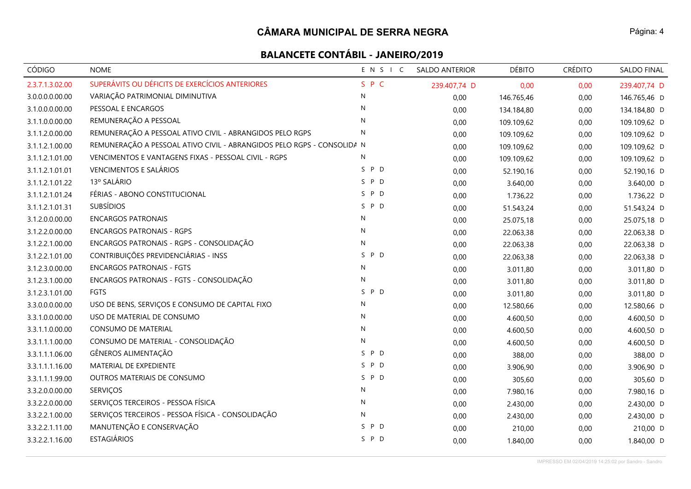#### **CÂMARA MUNICIPAL DE SERRA NEGRA**

| CÓDIGO          | <b>NOME</b>                                                            | ENSIC        | <b>SALDO ANTERIOR</b> | <b>DÉBITO</b> | <b>CRÉDITO</b> | SALDO FINAL  |
|-----------------|------------------------------------------------------------------------|--------------|-----------------------|---------------|----------------|--------------|
| 2.3.7.1.3.02.00 | SUPERÁVITS OU DÉFICITS DE EXERCÍCIOS ANTERIORES                        | S P C        | 239.407,74 D          | 0,00          | 0,00           | 239.407,74 D |
| 3.0.0.0.0.00.00 | VARIAÇÃO PATRIMONIAL DIMINUTIVA                                        | $\mathsf{N}$ | 0,00                  | 146.765,46    | 0,00           | 146.765,46 D |
| 3.1.0.0.0.00.00 | PESSOAL E ENCARGOS                                                     | N            | 0,00                  | 134.184,80    | 0,00           | 134.184,80 D |
| 3.1.1.0.0.00.00 | REMUNERAÇÃO A PESSOAL                                                  | N            | 0,00                  | 109.109,62    | 0,00           | 109.109,62 D |
| 3.1.1.2.0.00.00 | REMUNERAÇÃO A PESSOAL ATIVO CIVIL - ABRANGIDOS PELO RGPS               | N            | 0,00                  | 109.109,62    | 0,00           | 109.109,62 D |
| 3.1.1.2.1.00.00 | REMUNERAÇÃO A PESSOAL ATIVO CIVIL - ABRANGIDOS PELO RGPS - CONSOLIDA N |              | 0,00                  | 109.109,62    | 0,00           | 109.109,62 D |
| 3.1.1.2.1.01.00 | VENCIMENTOS E VANTAGENS FIXAS - PESSOAL CIVIL - RGPS                   | $\mathsf{N}$ | 0,00                  | 109.109,62    | 0,00           | 109.109,62 D |
| 3.1.1.2.1.01.01 | <b>VENCIMENTOS E SALÁRIOS</b>                                          | S P D        | 0,00                  | 52.190,16     | 0,00           | 52.190,16 D  |
| 3.1.1.2.1.01.22 | 13º SALÁRIO                                                            | S P D        | 0,00                  | 3.640,00      | 0,00           | 3.640,00 D   |
| 3.1.1.2.1.01.24 | FÉRIAS - ABONO CONSTITUCIONAL                                          | S P D        | 0,00                  | 1.736,22      | 0,00           | 1.736,22 D   |
| 3.1.1.2.1.01.31 | <b>SUBSÍDIOS</b>                                                       | S P D        | 0,00                  | 51.543,24     | 0,00           | 51.543,24 D  |
| 3.1.2.0.0.00.00 | <b>ENCARGOS PATRONAIS</b>                                              | N            | 0,00                  | 25.075,18     | 0,00           | 25.075,18 D  |
| 3.1.2.2.0.00.00 | <b>ENCARGOS PATRONAIS - RGPS</b>                                       | $\mathsf{N}$ | 0,00                  | 22.063,38     | 0,00           | 22.063,38 D  |
| 3.1.2.2.1.00.00 | ENCARGOS PATRONAIS - RGPS - CONSOLIDAÇÃO                               | N            | 0,00                  | 22.063,38     | 0,00           | 22.063,38 D  |
| 3.1.2.2.1.01.00 | CONTRIBUIÇÕES PREVIDENCIÁRIAS - INSS                                   | S P D        | 0,00                  | 22.063,38     | 0,00           | 22.063,38 D  |
| 3.1.2.3.0.00.00 | <b>ENCARGOS PATRONAIS - FGTS</b>                                       | ${\sf N}$    | 0,00                  | 3.011,80      | 0,00           | 3.011,80 D   |
| 3.1.2.3.1.00.00 | ENCARGOS PATRONAIS - FGTS - CONSOLIDAÇÃO                               | $\mathsf{N}$ | 0,00                  | 3.011,80      | 0,00           | 3.011,80 D   |
| 3.1.2.3.1.01.00 | FGTS                                                                   | P D<br>S.    | 0,00                  | 3.011,80      | 0,00           | 3.011,80 D   |
| 3.3.0.0.0.00.00 | USO DE BENS, SERVIÇOS E CONSUMO DE CAPITAL FIXO                        | N            | 0,00                  | 12.580,66     | 0,00           | 12.580,66 D  |
| 3.3.1.0.0.00.00 | USO DE MATERIAL DE CONSUMO                                             | N            | 0,00                  | 4.600,50      | 0,00           | 4.600,50 D   |
| 3.3.1.1.0.00.00 | CONSUMO DE MATERIAL                                                    | ${\sf N}$    | 0,00                  | 4.600,50      | 0,00           | 4.600,50 D   |
| 3.3.1.1.1.00.00 | CONSUMO DE MATERIAL - CONSOLIDAÇÃO                                     | N            | 0,00                  | 4.600,50      | 0,00           | 4.600,50 D   |
| 3.3.1.1.1.06.00 | GÊNEROS ALIMENTAÇÃO                                                    | S.<br>P D    | 0,00                  | 388,00        | 0,00           | 388,00 D     |
| 3.3.1.1.1.16.00 | MATERIAL DE EXPEDIENTE                                                 | S P D        | 0,00                  | 3.906,90      | 0,00           | 3.906,90 D   |
| 3.3.1.1.1.99.00 | OUTROS MATERIAIS DE CONSUMO                                            | S P D        | 0,00                  | 305,60        | 0,00           | 305,60 D     |
| 3.3.2.0.0.00.00 | <b>SERVIÇOS</b>                                                        | $\mathsf{N}$ | 0,00                  | 7.980,16      | 0,00           | 7.980,16 D   |
| 3.3.2.2.0.00.00 | SERVIÇOS TERCEIROS - PESSOA FÍSICA                                     | N            | 0,00                  | 2.430,00      | 0,00           | 2.430,00 D   |
| 3.3.2.2.1.00.00 | SERVIÇOS TERCEIROS - PESSOA FÍSICA - CONSOLIDAÇÃO                      | N            | 0,00                  | 2.430,00      | 0,00           | 2.430,00 D   |
| 3.3.2.2.1.11.00 | MANUTENÇÃO E CONSERVAÇÃO                                               | S.<br>P D    | 0,00                  | 210,00        | 0,00           | 210,00 D     |
| 3.3.2.2.1.16.00 | <b>ESTAGIÁRIOS</b>                                                     | S P D        | 0,00                  | 1.840,00      | 0,00           | 1.840,00 D   |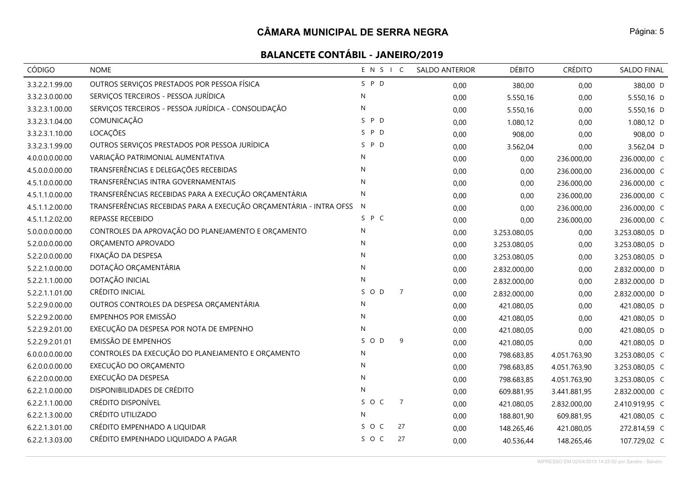| CÓDIGO          | <b>NOME</b>                                                        | ENSIC                 | <b>SALDO ANTERIOR</b> | <b>DÉBITO</b> | <b>CRÉDITO</b> | SALDO FINAL    |
|-----------------|--------------------------------------------------------------------|-----------------------|-----------------------|---------------|----------------|----------------|
| 3.3.2.2.1.99.00 | OUTROS SERVIÇOS PRESTADOS POR PESSOA FÍSICA                        | S P D                 | 0,00                  | 380,00        | 0,00           | 380,00 D       |
| 3.3.2.3.0.00.00 | SERVIÇOS TERCEIROS - PESSOA JURÍDICA                               | $\mathsf{N}$          | 0,00                  | 5.550,16      | 0,00           | 5.550,16 D     |
| 3.3.2.3.1.00.00 | SERVIÇOS TERCEIROS - PESSOA JURÍDICA - CONSOLIDAÇÃO                | ${\sf N}$             | 0,00                  | 5.550,16      | 0,00           | 5.550,16 D     |
| 3.3.2.3.1.04.00 | COMUNICAÇÃO                                                        | S P D                 | 0,00                  | 1.080,12      | 0,00           | 1.080,12 D     |
| 3.3.2.3.1.10.00 | LOCAÇÕES                                                           | S.<br>P D             | 0,00                  | 908,00        | 0,00           | 908,00 D       |
| 3.3.2.3.1.99.00 | OUTROS SERVIÇOS PRESTADOS POR PESSOA JURÍDICA                      | S P D                 | 0,00                  | 3.562,04      | 0,00           | 3.562,04 D     |
| 4.0.0.0.0.00.00 | VARIAÇÃO PATRIMONIAL AUMENTATIVA                                   | N                     | 0,00                  | 0,00          | 236.000,00     | 236.000,00 C   |
| 4.5.0.0.0.00.00 | TRANSFERÊNCIAS E DELEGAÇÕES RECEBIDAS                              | $\mathsf{N}$          | 0,00                  | 0,00          | 236.000,00     | 236.000,00 C   |
| 4.5.1.0.0.00.00 | TRANSFERÊNCIAS INTRA GOVERNAMENTAIS                                | N                     | 0,00                  | 0,00          | 236.000,00     | 236.000,00 C   |
| 4.5.1.1.0.00.00 | TRANSFERÊNCIAS RECEBIDAS PARA A EXECUÇÃO ORÇAMENTÁRIA              | N                     | 0,00                  | 0,00          | 236.000,00     | 236.000,00 C   |
| 4.5.1.1.2.00.00 | TRANSFERÊNCIAS RECEBIDAS PARA A EXECUÇÃO ORÇAMENTÁRIA - INTRA OFSS | N                     | 0,00                  | 0,00          | 236.000,00     | 236.000,00 C   |
| 4.5.1.1.2.02.00 | REPASSE RECEBIDO                                                   | S P C                 | 0,00                  | 0,00          | 236.000,00     | 236.000,00 C   |
| 5.0.0.0.0.00.00 | CONTROLES DA APROVAÇÃO DO PLANEJAMENTO E ORÇAMENTO                 | N                     | 0,00                  | 3.253.080,05  | 0,00           | 3.253.080,05 D |
| 5.2.0.0.0.00.00 | ORÇAMENTO APROVADO                                                 | N                     | 0,00                  | 3.253.080,05  | 0,00           | 3.253.080,05 D |
| 5.2.2.0.0.00.00 | FIXAÇÃO DA DESPESA                                                 | $\mathsf{N}$          | 0,00                  | 3.253.080,05  | 0,00           | 3.253.080,05 D |
| 5.2.2.1.0.00.00 | DOTAÇÃO ORÇAMENTÁRIA                                               | ${\sf N}$             | 0,00                  | 2.832.000,00  | 0,00           | 2.832.000,00 D |
| 5.2.2.1.1.00.00 | DOTAÇÃO INICIAL                                                    | $\mathsf{N}$          | 0,00                  | 2.832.000,00  | 0,00           | 2.832.000,00 D |
| 5.2.2.1.1.01.00 | CRÉDITO INICIAL                                                    | SOD<br>$\overline{7}$ | 0,00                  | 2.832.000,00  | 0,00           | 2.832.000,00 D |
| 5.2.2.9.0.00.00 | OUTROS CONTROLES DA DESPESA ORÇAMENTÁRIA                           | $\mathsf{N}$          | 0,00                  | 421.080,05    | 0,00           | 421.080,05 D   |
| 5.2.2.9.2.00.00 | EMPENHOS POR EMISSÃO                                               | N                     | 0,00                  | 421.080,05    | 0,00           | 421.080,05 D   |
| 5.2.2.9.2.01.00 | EXECUÇÃO DA DESPESA POR NOTA DE EMPENHO                            | ${\sf N}$             | 0,00                  | 421.080,05    | 0,00           | 421.080,05 D   |
| 5.2.2.9.2.01.01 | <b>EMISSÃO DE EMPENHOS</b>                                         | SOD<br>9              | 0,00                  | 421.080,05    | 0,00           | 421.080,05 D   |
| 6.0.0.0.0.00.00 | CONTROLES DA EXECUÇÃO DO PLANEJAMENTO E ORÇAMENTO                  | $\mathsf{N}$          | 0,00                  | 798.683,85    | 4.051.763,90   | 3.253.080,05 C |
| 6.2.0.0.0.00.00 | EXECUÇÃO DO ORÇAMENTO                                              | $\mathsf{N}$          | 0,00                  | 798.683,85    | 4.051.763,90   | 3.253.080,05 C |
| 6.2.2.0.0.00.00 | EXECUÇÃO DA DESPESA                                                | $\mathsf{N}$          | 0,00                  | 798.683,85    | 4.051.763,90   | 3.253.080,05 C |
| 6.2.2.1.0.00.00 | DISPONIBILIDADES DE CRÉDITO                                        | $\mathsf{N}$          | 0,00                  | 609.881,95    | 3.441.881,95   | 2.832.000,00 C |
| 6.2.2.1.1.00.00 | CRÉDITO DISPONÍVEL                                                 | SOC<br>$\overline{7}$ | 0,00                  | 421.080,05    | 2.832.000,00   | 2.410.919,95 C |
| 6.2.2.1.3.00.00 | CRÉDITO UTILIZADO                                                  | N                     | 0,00                  | 188.801,90    | 609.881,95     | 421.080,05 C   |
| 6.2.2.1.3.01.00 | CRÉDITO EMPENHADO A LIQUIDAR                                       | S O C<br>27           | 0,00                  | 148.265,46    | 421.080,05     | 272.814,59 C   |
| 6.2.2.1.3.03.00 | CRÉDITO EMPENHADO LIQUIDADO A PAGAR                                | SOC<br>27             | 0,00                  | 40.536,44     | 148.265,46     | 107.729,02 C   |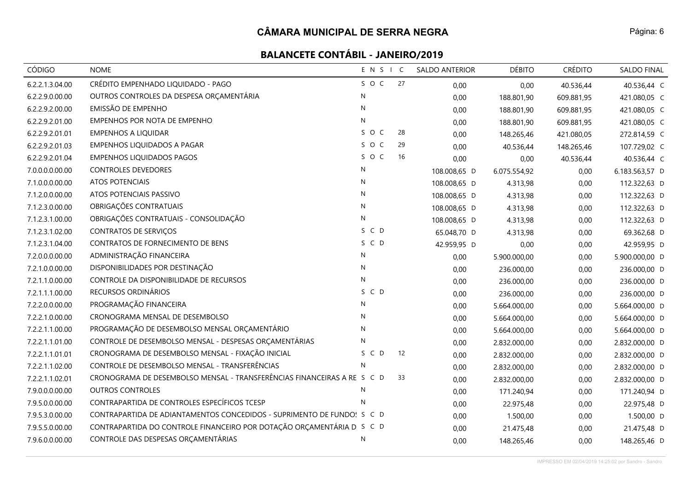| <b>CÓDIGO</b>   | <b>NOME</b>                                                             | ENSIC        |    | <b>SALDO ANTERIOR</b> | <b>DÉBITO</b> | <b>CRÉDITO</b> | SALDO FINAL    |
|-----------------|-------------------------------------------------------------------------|--------------|----|-----------------------|---------------|----------------|----------------|
| 6.2.2.1.3.04.00 | CRÉDITO EMPENHADO LIQUIDADO - PAGO                                      | SOC          | 27 | 0,00                  | 0,00          | 40.536,44      | 40.536,44 C    |
| 6.2.2.9.0.00.00 | OUTROS CONTROLES DA DESPESA ORÇAMENTÁRIA                                | $\mathsf{N}$ |    | 0,00                  | 188.801,90    | 609.881,95     | 421.080,05 C   |
| 6.2.2.9.2.00.00 | EMISSÃO DE EMPENHO                                                      | N            |    | 0,00                  | 188.801,90    | 609.881,95     | 421.080,05 C   |
| 6.2.2.9.2.01.00 | EMPENHOS POR NOTA DE EMPENHO                                            | $\mathsf{N}$ |    | 0,00                  | 188.801,90    | 609.881,95     | 421.080,05 C   |
| 6.2.2.9.2.01.01 | <b>EMPENHOS A LIQUIDAR</b>                                              | SOC          | 28 | 0,00                  | 148.265,46    | 421.080,05     | 272.814,59 C   |
| 6.2.2.9.2.01.03 | EMPENHOS LIQUIDADOS A PAGAR                                             | SOC          | 29 | 0,00                  | 40.536,44     | 148.265,46     | 107.729,02 C   |
| 6.2.2.9.2.01.04 | <b>EMPENHOS LIQUIDADOS PAGOS</b>                                        | SOC          | 16 | 0,00                  | 0,00          | 40.536,44      | 40.536,44 C    |
| 7.0.0.0.0.00.00 | CONTROLES DEVEDORES                                                     | ${\sf N}$    |    | 108.008,65 D          | 6.075.554,92  | 0,00           | 6.183.563,57 D |
| 7.1.0.0.0.00.00 | <b>ATOS POTENCIAIS</b>                                                  | N            |    | 108.008,65 D          | 4.313,98      | 0,00           | 112.322,63 D   |
| 7.1.2.0.0.00.00 | ATOS POTENCIAIS PASSIVO                                                 | $\mathsf{N}$ |    | 108.008,65 D          | 4.313,98      | 0,00           | 112.322,63 D   |
| 7.1.2.3.0.00.00 | OBRIGAÇÕES CONTRATUAIS                                                  | N            |    | 108.008,65 D          | 4.313,98      | 0,00           | 112.322,63 D   |
| 7.1.2.3.1.00.00 | OBRIGAÇÕES CONTRATUAIS - CONSOLIDAÇÃO                                   | ${\sf N}$    |    | 108.008,65 D          | 4.313,98      | 0,00           | 112.322,63 D   |
| 7.1.2.3.1.02.00 | <b>CONTRATOS DE SERVIÇOS</b>                                            | S C D        |    | 65.048,70 D           | 4.313,98      | 0,00           | 69.362,68 D    |
| 7.1.2.3.1.04.00 | CONTRATOS DE FORNECIMENTO DE BENS                                       | S C D        |    | 42.959,95 D           | 0,00          | 0,00           | 42.959,95 D    |
| 7.2.0.0.0.00.00 | ADMINISTRAÇÃO FINANCEIRA                                                | ${\sf N}$    |    | 0,00                  | 5.900.000,00  | 0,00           | 5.900.000,00 D |
| 7.2.1.0.0.00.00 | DISPONIBILIDADES POR DESTINAÇÃO                                         | $\mathsf{N}$ |    | 0,00                  | 236.000,00    | 0,00           | 236.000,00 D   |
| 7.2.1.1.0.00.00 | CONTROLE DA DISPONIBILIDADE DE RECURSOS                                 | ${\sf N}$    |    | 0,00                  | 236.000,00    | 0,00           | 236.000,00 D   |
| 7.2.1.1.1.00.00 | RECURSOS ORDINÁRIOS                                                     | S C D        |    | 0,00                  | 236.000,00    | 0,00           | 236.000,00 D   |
| 7.2.2.0.0.00.00 | PROGRAMAÇÃO FINANCEIRA                                                  | N            |    | 0,00                  | 5.664.000,00  | 0,00           | 5.664.000,00 D |
| 7.2.2.1.0.00.00 | CRONOGRAMA MENSAL DE DESEMBOLSO                                         | N            |    | 0,00                  | 5.664.000,00  | 0,00           | 5.664.000,00 D |
| 7.2.2.1.1.00.00 | PROGRAMAÇÃO DE DESEMBOLSO MENSAL ORÇAMENTÁRIO                           | N            |    | 0,00                  | 5.664.000,00  | 0,00           | 5.664.000,00 D |
| 7.2.2.1.1.01.00 | CONTROLE DE DESEMBOLSO MENSAL - DESPESAS ORÇAMENTÁRIAS                  | $\mathsf{N}$ |    | 0,00                  | 2.832.000,00  | 0,00           | 2.832.000,00 D |
| 7.2.2.1.1.01.01 | CRONOGRAMA DE DESEMBOLSO MENSAL - FIXAÇÃO INICIAL                       | SCD          | 12 | 0,00                  | 2.832.000,00  | 0,00           | 2.832.000,00 D |
| 7.2.2.1.1.02.00 | CONTROLE DE DESEMBOLSO MENSAL - TRANSFERÊNCIAS                          | N            |    | 0,00                  | 2.832.000,00  | 0,00           | 2.832.000,00 D |
| 7.2.2.1.1.02.01 | CRONOGRAMA DE DESEMBOLSO MENSAL - TRANSFERÊNCIAS FINANCEIRAS A RE S C D |              | 33 | 0,00                  | 2.832.000,00  | 0,00           | 2.832.000,00 D |
| 7.9.0.0.0.00.00 | <b>OUTROS CONTROLES</b>                                                 | N            |    | 0,00                  | 171.240,94    | 0,00           | 171.240,94 D   |
| 7.9.5.0.0.00.00 | CONTRAPARTIDA DE CONTROLES ESPECÍFICOS TCESP                            | N            |    | 0,00                  | 22.975,48     | 0,00           | 22.975,48 D    |
| 7.9.5.3.0.00.00 | CONTRAPARTIDA DE ADIANTAMENTOS CONCEDIDOS - SUPRIMENTO DE FUNDO: S C D  |              |    | 0,00                  | 1.500,00      | 0,00           | 1.500,00 D     |
| 7.9.5.5.0.00.00 | CONTRAPARTIDA DO CONTROLE FINANCEIRO POR DOTAÇÃO ORÇAMENTÁRIA D S C D   |              |    | 0,00                  | 21.475,48     | 0,00           | 21.475,48 D    |
| 7.9.6.0.0.00.00 | CONTROLE DAS DESPESAS ORÇAMENTÁRIAS                                     | $\mathsf{N}$ |    | 0,00                  | 148.265,46    | 0,00           | 148.265,46 D   |

IMPRESSO EM 02/04/2019 14:25:02 por Sandro - Sandro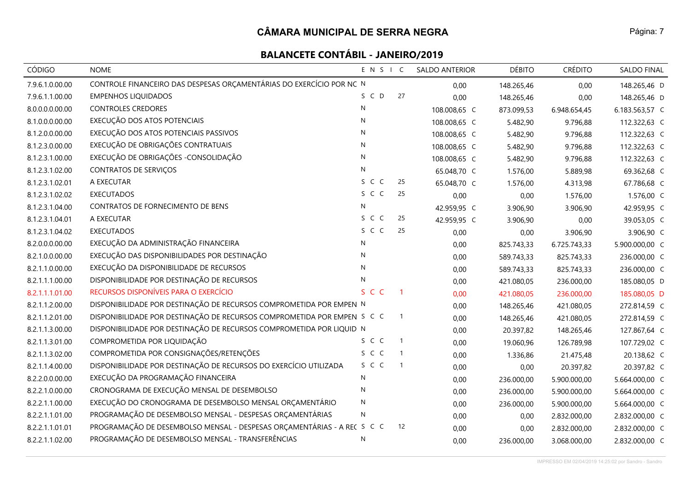| CÓDIGO          | <b>NOME</b>                                                             | ENSIC        |                | <b>SALDO ANTERIOR</b> | <b>DÉBITO</b> | <b>CRÉDITO</b> | SALDO FINAL    |
|-----------------|-------------------------------------------------------------------------|--------------|----------------|-----------------------|---------------|----------------|----------------|
| 7.9.6.1.0.00.00 | CONTROLE FINANCEIRO DAS DESPESAS ORÇAMENTÁRIAS DO EXERCÍCIO POR NC N    |              |                | 0,00                  | 148.265,46    | 0,00           | 148.265,46 D   |
| 7.9.6.1.1.00.00 | <b>EMPENHOS LIQUIDADOS</b>                                              | S C D        | 27             | 0,00                  | 148.265,46    | 0,00           | 148.265,46 D   |
| 8.0.0.0.0.00.00 | <b>CONTROLES CREDORES</b>                                               | ${\sf N}$    |                | 108.008,65 C          | 873.099,53    | 6.948.654,45   | 6.183.563,57 C |
| 8.1.0.0.0.00.00 | EXECUÇÃO DOS ATOS POTENCIAIS                                            | N            |                | 108.008,65 C          | 5.482,90      | 9.796,88       | 112.322,63 C   |
| 8.1.2.0.0.00.00 | EXECUÇÃO DOS ATOS POTENCIAIS PASSIVOS                                   | ${\sf N}$    |                | 108.008,65 C          | 5.482,90      | 9.796,88       | 112.322,63 C   |
| 8.1.2.3.0.00.00 | EXECUÇÃO DE OBRIGAÇÕES CONTRATUAIS                                      | $\mathsf{N}$ |                | 108.008,65 C          | 5.482,90      | 9.796,88       | 112.322,63 C   |
| 8.1.2.3.1.00.00 | EXECUÇÃO DE OBRIGAÇÕES - CONSOLIDAÇÃO                                   | $\mathsf{N}$ |                | 108.008,65 C          | 5.482,90      | 9.796,88       | 112.322,63 C   |
| 8.1.2.3.1.02.00 | <b>CONTRATOS DE SERVIÇOS</b>                                            | ${\sf N}$    |                | 65.048,70 C           | 1.576,00      | 5.889,98       | 69.362,68 C    |
| 8.1.2.3.1.02.01 | A EXECUTAR                                                              | S C C        | 25             | 65.048,70 C           | 1.576,00      | 4.313,98       | 67.786,68 C    |
| 8.1.2.3.1.02.02 | <b>EXECUTADOS</b>                                                       | S C C        | 25             | 0,00                  | 0,00          | 1.576,00       | 1.576,00 C     |
| 8.1.2.3.1.04.00 | <b>CONTRATOS DE FORNECIMENTO DE BENS</b>                                | $\mathsf{N}$ |                | 42.959,95 C           | 3.906,90      | 3.906,90       | 42.959,95 C    |
| 8.1.2.3.1.04.01 | A EXECUTAR                                                              | S C C        | 25             | 42.959,95 C           | 3.906,90      | 0,00           | 39.053,05 C    |
| 8.1.2.3.1.04.02 | <b>EXECUTADOS</b>                                                       | S C C        | 25             | 0,00                  | 0,00          | 3.906,90       | 3.906,90 C     |
| 8.2.0.0.0.00.00 | EXECUÇÃO DA ADMINISTRAÇÃO FINANCEIRA                                    | N            |                | 0,00                  | 825.743,33    | 6.725.743,33   | 5.900.000,00 C |
| 8.2.1.0.0.00.00 | EXECUÇÃO DAS DISPONIBILIDADES POR DESTINAÇÃO                            | $\mathsf{N}$ |                | 0,00                  | 589.743,33    | 825.743,33     | 236.000,00 C   |
| 8.2.1.1.0.00.00 | EXECUÇÃO DA DISPONIBILIDADE DE RECURSOS                                 | $\mathsf{N}$ |                | 0,00                  | 589.743,33    | 825.743,33     | 236.000,00 C   |
| 8.2.1.1.1.00.00 | DISPONIBILIDADE POR DESTINAÇÃO DE RECURSOS                              | ${\sf N}$    |                | 0,00                  | 421.080,05    | 236.000,00     | 185.080,05 D   |
| 8.2.1.1.1.01.00 | RECURSOS DISPONÍVEIS PARA O EXERCÍCIO                                   | S C C        | -1             | 0,00                  | 421.080,05    | 236.000,00     | 185.080,05 D   |
| 8.2.1.1.2.00.00 | DISPONIBILIDADE POR DESTINAÇÃO DE RECURSOS COMPROMETIDA POR EMPEN N     |              |                | 0,00                  | 148.265,46    | 421.080,05     | 272.814,59 C   |
| 8.2.1.1.2.01.00 | DISPONIBILIDADE POR DESTINAÇÃO DE RECURSOS COMPROMETIDA POR EMPEN S C C |              | $\overline{1}$ | 0,00                  | 148.265,46    | 421.080,05     | 272.814,59 C   |
| 8.2.1.1.3.00.00 | DISPONIBILIDADE POR DESTINAÇÃO DE RECURSOS COMPROMETIDA POR LIQUID N    |              |                | 0,00                  | 20.397,82     | 148.265,46     | 127.867,64 C   |
| 8.2.1.1.3.01.00 | COMPROMETIDA POR LIQUIDAÇÃO                                             | S C C        | $\overline{1}$ | 0,00                  | 19.060,96     | 126.789,98     | 107.729,02 C   |
| 8.2.1.1.3.02.00 | COMPROMETIDA POR CONSIGNAÇÕES/RETENÇÕES                                 | S C C        | $\overline{1}$ | 0,00                  | 1.336,86      | 21.475,48      | 20.138,62 C    |
| 8.2.1.1.4.00.00 | DISPONIBILIDADE POR DESTINAÇÃO DE RECURSOS DO EXERCÍCIO UTILIZADA       | S C C        | $\overline{1}$ | 0,00                  | 0,00          | 20.397,82      | 20.397,82 C    |
| 8.2.2.0.0.00.00 | EXECUÇÃO DA PROGRAMAÇÃO FINANCEIRA                                      | N            |                | 0,00                  | 236.000,00    | 5.900.000,00   | 5.664.000,00 C |
| 8.2.2.1.0.00.00 | CRONOGRAMA DE EXECUÇÃO MENSAL DE DESEMBOLSO                             | $\mathsf{N}$ |                | 0,00                  | 236.000,00    | 5.900.000,00   | 5.664.000,00 C |
| 8.2.2.1.1.00.00 | EXECUÇÃO DO CRONOGRAMA DE DESEMBOLSO MENSAL ORÇAMENTÁRIO                | $\mathsf{N}$ |                | 0,00                  | 236.000,00    | 5.900.000,00   | 5.664.000,00 C |
| 8.2.2.1.1.01.00 | PROGRAMAÇÃO DE DESEMBOLSO MENSAL - DESPESAS ORÇAMENTÁRIAS               | $\mathsf{N}$ |                | 0,00                  | 0,00          | 2.832.000,00   | 2.832.000,00 C |
| 8.2.2.1.1.01.01 | PROGRAMAÇÃO DE DESEMBOLSO MENSAL - DESPESAS ORÇAMENTÁRIAS - A REC S C C |              | 12             | 0,00                  | 0,00          | 2.832.000,00   | 2.832.000,00 C |
| 8.2.2.1.1.02.00 | PROGRAMAÇÃO DE DESEMBOLSO MENSAL - TRANSFERÊNCIAS                       | N            |                | 0,00                  | 236.000,00    | 3.068.000,00   | 2.832.000,00 C |